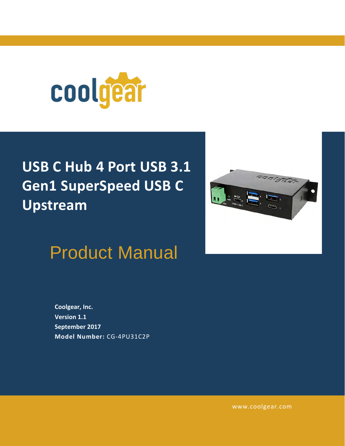

# **USB C Hub 4 Port USB 3.1 Gen1 SuperSpeed USB C Upstream**



Product Manual

**Coolgear, Inc. Version 1.1 September 2017 Model Number:** [CG-4PU31C2P](https://www.coolgear.com/product/usb-c-hub-4-port-usb-3-1-gen1-superspeed-usb-c-upstream)

[www.coolgear.com](https://www.coolgear.com/)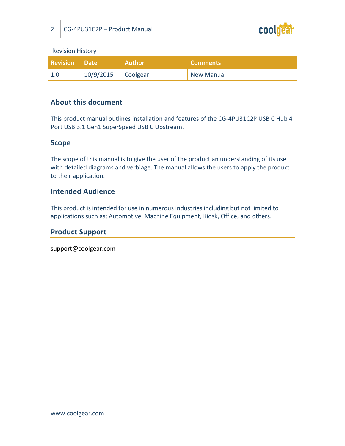

Revision History

| <b>Revision Date</b> |                      | <b>Author</b> | <b>Comments</b>   |
|----------------------|----------------------|---------------|-------------------|
| $\vert 1.0 \vert$    | $10/9/2015$ Coolgear |               | <b>New Manual</b> |

#### **About this document**

This product manual outlines installation and features of the CG-4PU31C2P USB C Hub 4 Port USB 3.1 Gen1 SuperSpeed USB C Upstream.

#### **Scope**

The scope of this manual is to give the user of the product an understanding of its use with detailed diagrams and verbiage. The manual allows the users to apply the product to their application.

#### **Intended Audience**

This product is intended for use in numerous industries including but not limited to applications such as; Automotive, Machine Equipment, Kiosk, Office, and others.

#### **Product Support**

support@coolgear.com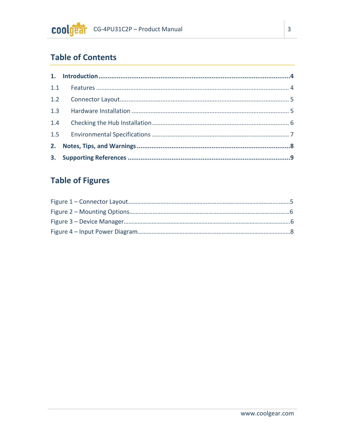# **Table of Contents**

# **Table of Figures**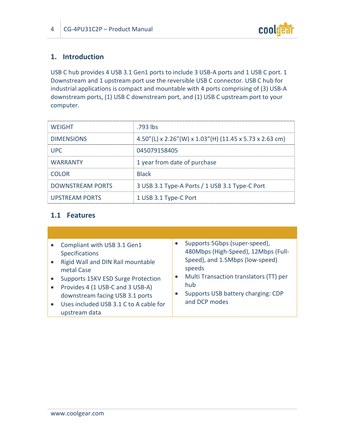

## <span id="page-3-0"></span>**1. Introduction**

USB C hub provides 4 USB 3.1 Gen1 ports to include 3 USB-A ports and 1 USB C port. 1 Downstream and 1 upstream port use the reversible USB C connector. USB C hub for industrial applications is compact and mountable with 4 ports comprising of (3) USB-A downstream ports, (1) USB C downstream port, and (1) USB C upstream port to your computer.

| <b>WEIGHT</b>           | .793 lbs                                                |
|-------------------------|---------------------------------------------------------|
| <b>DIMENSIONS</b>       | 4.50"(L) x 2.26"(W) x 1.03"(H) (11.45 x 5.73 x 2.63 cm) |
| <b>UPC</b>              | 045079158405                                            |
| <b>WARRANTY</b>         | 1 year from date of purchase                            |
| <b>COLOR</b>            | <b>Black</b>                                            |
| <b>DOWNSTREAM PORTS</b> | 3 USB 3.1 Type-A Ports / 1 USB 3.1 Type-C Port          |
| <b>UPSTREAM PORTS</b>   | 1 USB 3.1 Type-C Port                                   |

#### <span id="page-3-1"></span>**1.1 Features**

| Compliant with USB 3.1 Gen1<br><b>Specifications</b><br>Rigid Wall and DIN Rail mountable<br>$\bullet$<br>metal Case<br>Supports 15KV ESD Surge Protection<br>Provides 4 (1 USB-C and 3 USB-A)<br>downstream facing USB 3.1 ports<br>Uses included USB 3.1 C to A cable for<br>$\bullet$<br>upstream data | Supports 5Gbps (super-speed),<br>480Mbps (High-Speed), 12Mbps (Full-<br>Speed), and 1.5Mbps (low-speed)<br>speeds<br>Multi Transaction translators (TT) per<br>hub<br>Supports USB battery charging: CDP<br>and DCP modes |
|-----------------------------------------------------------------------------------------------------------------------------------------------------------------------------------------------------------------------------------------------------------------------------------------------------------|---------------------------------------------------------------------------------------------------------------------------------------------------------------------------------------------------------------------------|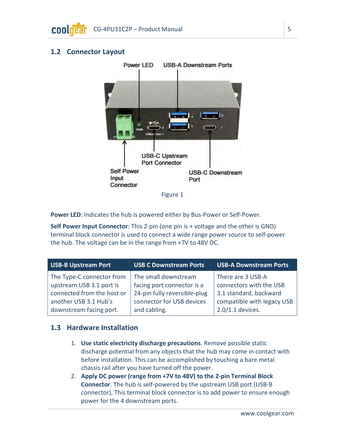### <span id="page-4-2"></span><span id="page-4-0"></span>**1.2 Connector Layout**



Figure 1

Power LED: Indicates the hub is powered either by Bus-Power or Self-Power.

**Self Power Input Connector**: This 2-pin (one pin is + voltage and the other is GND) terminal block connector is used to connect a wide range power source to self-power the hub. The voltage can be in the range from +7V to 48V DC.

| <b>USB-B Upstream Port</b> | <b>USB C Downstream Ports</b> | <b>USB-A Downstream Ports</b> |
|----------------------------|-------------------------------|-------------------------------|
| The Type-C connector from  | The small downstream          | There are 3 USB-A             |
| upstream USB 3.1 port is   | facing port connector is a    | connectors with the USB       |
| connected from the host or | 24-pin fully reversible-plug  | 3.1 standard, backward        |
| another USB 3.1 Hub's      | connector for USB devices     | compatible with legacy USB    |
| downstream facing port.    | and cabling.                  | $2.0/1.1$ devices.            |

#### <span id="page-4-1"></span>**1.3 Hardware Installation**

- 1. **Use static electricity discharge precautions**. Remove possible static discharge potential from any objects that the hub may come in contact with before installation. This can be accomplished by touching a bare metal chassis rail after you have turned off the power.
- 2. **Apply DC power (range from +7V to 48V) to the 2-pin Terminal Block Connector**. The hub is self-powered by the upstream USB port (USB-B connector), This terminal block connector is to add power to ensure enough power for the 4 downstream ports.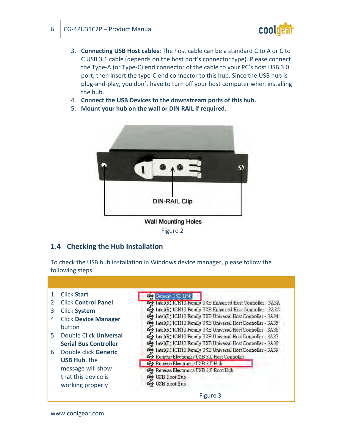

- 3. **Connecting USB Host cables:** The host cable can be a standard C to A or C to C USB 3.1 cable (depends on the host port's connector type). Please connect the Type-A (or Type-C) end connector of the cable to your PC's host USB 3.0 port, then insert the type-C end connector to this hub. Since the USB hub is plug-and-play, you don't have to turn off your host computer when installing the hub.
- 4. **Connect the USB Devices to the downstream ports of this hub.**
- <span id="page-5-1"></span>5. **Mount your hub on the wall or DIN RAIL if required.**



Figure 2

#### <span id="page-5-0"></span>**1.4 Checking the Hub Installation**

<span id="page-5-2"></span>To check the USB hub installation in Windows device manager, please follow the following steps:

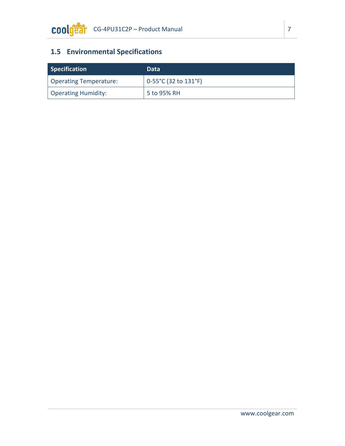# <span id="page-6-0"></span>**1.5 Environmental Specifications**

| Specification          | Data                         |
|------------------------|------------------------------|
| Operating Temperature: | $\vert$ 0-55°C (32 to 131°F) |
| Operating Humidity:    | $^{\prime}$ 5 to 95% RH      |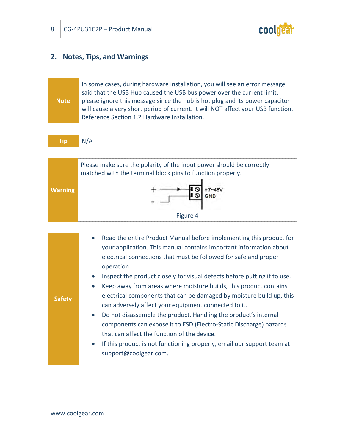

## <span id="page-7-0"></span>**2. Notes, Tips, and Warnings**

|             | In some cases, during hardware installation, you will see an error message<br>said that the USB Hub caused the USB bus power over the current limit,                                                             |
|-------------|------------------------------------------------------------------------------------------------------------------------------------------------------------------------------------------------------------------|
| <b>Note</b> | please ignore this message since the hub is hot plug and its power capacitor<br>will cause a very short period of current. It will NOT affect your USB function.<br>Reference Section 1.2 Hardware Installation. |

| m | n |
|---|---|
|---|---|

<span id="page-7-1"></span>

| <b>Safety</b> | Read the entire Product Manual before implementing this product for<br>$\bullet$<br>your application. This manual contains important information about<br>electrical connections that must be followed for safe and proper<br>operation.<br>Inspect the product closely for visual defects before putting it to use.<br>$\bullet$<br>Keep away from areas where moisture builds, this product contains<br>$\bullet$<br>electrical components that can be damaged by moisture build up, this<br>can adversely affect your equipment connected to it.<br>Do not disassemble the product. Handling the product's internal<br>$\bullet$<br>components can expose it to ESD (Electro-Static Discharge) hazards<br>that can affect the function of the device.<br>If this product is not functioning properly, email our support team at<br>$\bullet$ |
|---------------|-------------------------------------------------------------------------------------------------------------------------------------------------------------------------------------------------------------------------------------------------------------------------------------------------------------------------------------------------------------------------------------------------------------------------------------------------------------------------------------------------------------------------------------------------------------------------------------------------------------------------------------------------------------------------------------------------------------------------------------------------------------------------------------------------------------------------------------------------|
|               | support@coolgear.com.                                                                                                                                                                                                                                                                                                                                                                                                                                                                                                                                                                                                                                                                                                                                                                                                                           |
|               |                                                                                                                                                                                                                                                                                                                                                                                                                                                                                                                                                                                                                                                                                                                                                                                                                                                 |